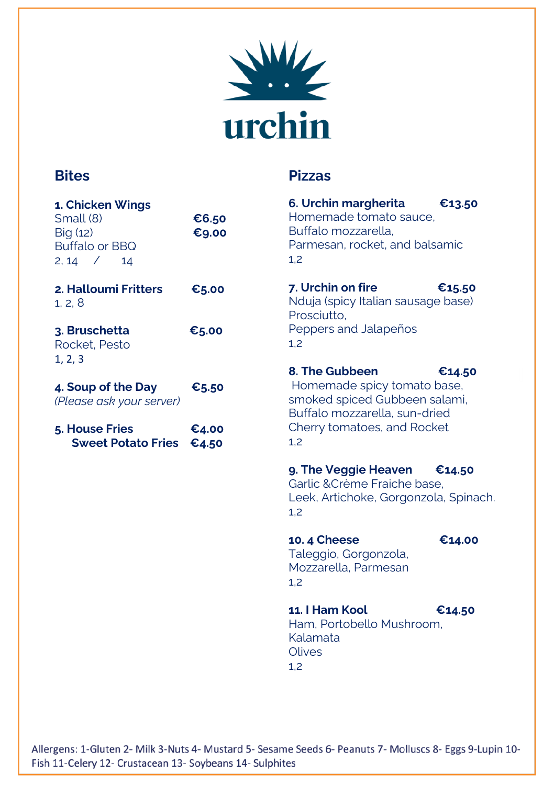

### **Bites**

**Pizzas**

| 1. Chicken Wings<br>Small (8)<br>Big (12)<br><b>Buffalo or BBQ</b><br>$2, 14$ /<br>14 | €6.50<br>€9.00 | 6. Urchin margherita<br>Homemade tomato sauce,<br>Buffalo mozzarella.<br>Parmesan, rocket, and balsamic<br>1,2            | €13.50 |
|---------------------------------------------------------------------------------------|----------------|---------------------------------------------------------------------------------------------------------------------------|--------|
| 2. Halloumi Fritters<br>1, 2, 8                                                       | €5.00          | 7. Urchin on fire<br>€15.50<br>Nduja (spicy Italian sausage base)<br>Prosciutto.<br>Peppers and Jalapeños<br>1,2          |        |
| 3. Bruschetta<br>Rocket, Pesto<br>1, 2, 3                                             | €5.00          |                                                                                                                           |        |
| 4. Soup of the Day<br>(Please ask your server)                                        | €5.50          | 8. The Gubbeen<br>€14.50<br>Homemade spicy tomato base,<br>smoked spiced Gubbeen salami,<br>Buffalo mozzarella, sun-dried |        |
| 5. House Fries<br><b>Sweet Potato Fries</b>                                           | €4.00<br>€4.50 | Cherry tomatoes, and Rocket<br>1,2                                                                                        |        |
|                                                                                       |                | 9. The Veggie Heaven<br>Garlic & Crème Fraiche base.<br>Leek, Artichoke, Gorgonzola, Spinach.<br>1,2                      | €14.50 |
|                                                                                       |                | <b>10.4 Cheese</b><br>Taleggio, Gorgonzola,<br>Mozzarella, Parmesan<br>1,2                                                | €14.00 |
|                                                                                       |                | 11. I Ham Kool<br>Ham. Portobello Mushroom.<br>Kalamata<br><b>Olives</b><br>1,2                                           | €14.50 |

Allergens: 1-Gluten 2- Milk 3-Nuts 4- Mustard 5- Sesame Seeds 6- Peanuts 7- Molluscs 8- Eggs 9-Lupin 10-Fish 11-Celery 12- Crustacean 13- Soybeans 14- Sulphites